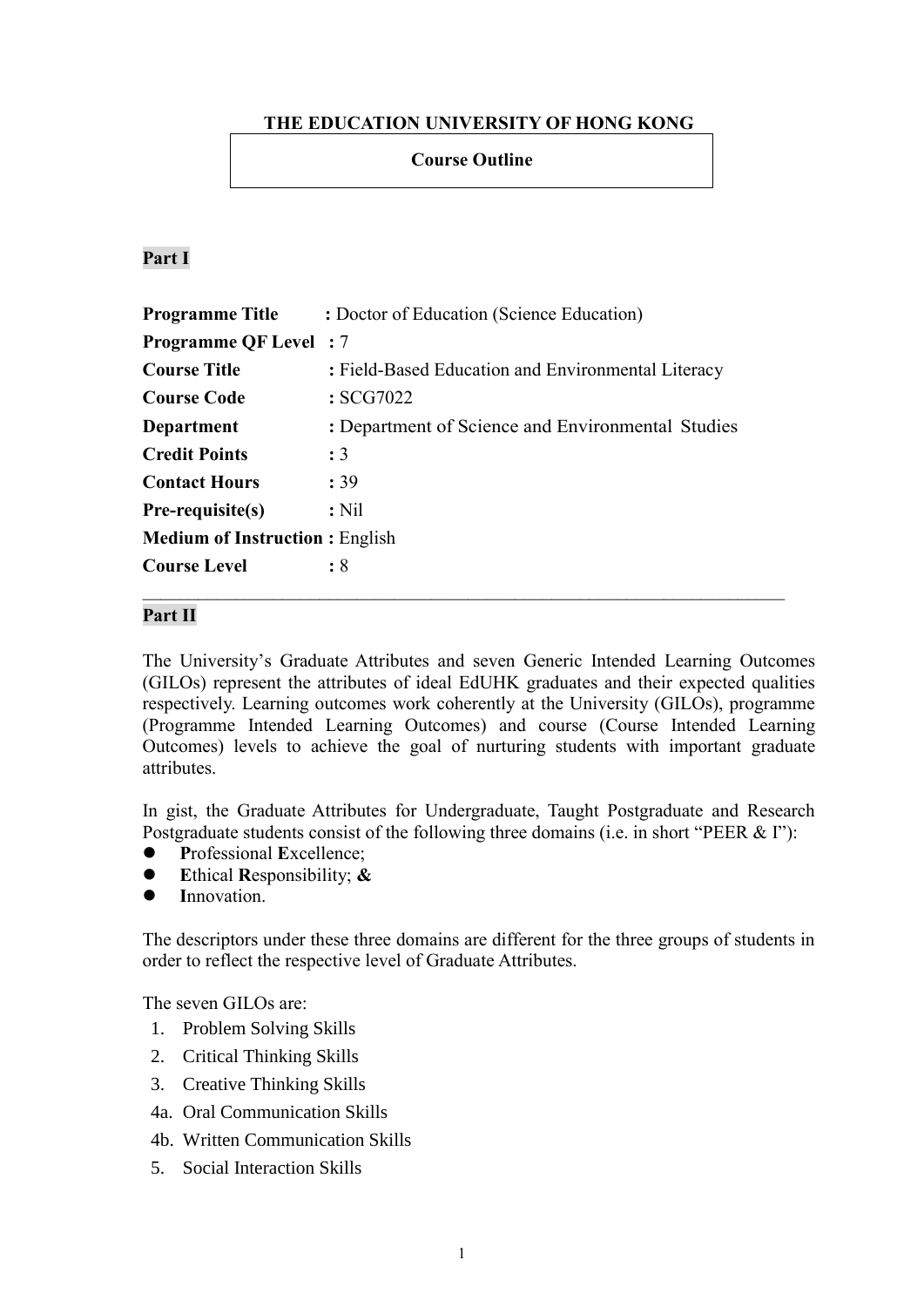## **THE EDUCATION UNIVERSITY OF HONG KONG**

## **Course Outline**

### **Part I**

| <b>Programme Title</b>                | : Doctor of Education (Science Education)          |  |  |
|---------------------------------------|----------------------------------------------------|--|--|
| <b>Programme QF Level</b> : 7         |                                                    |  |  |
| <b>Course Title</b>                   | : Field-Based Education and Environmental Literacy |  |  |
| <b>Course Code</b>                    | :SCG7022                                           |  |  |
| Department                            | : Department of Science and Environmental Studies  |  |  |
| <b>Credit Points</b>                  | $\cdot$ 3                                          |  |  |
| <b>Contact Hours</b>                  | : 39                                               |  |  |
| $Pre-requistes(s)$                    | $:$ Nil                                            |  |  |
| <b>Medium of Instruction: English</b> |                                                    |  |  |
| <b>Course Level</b>                   | $\colon 8$                                         |  |  |

### **Part II**

The University's Graduate Attributes and seven Generic Intended Learning Outcomes (GILOs) represent the attributes of ideal EdUHK graduates and their expected qualities respectively. Learning outcomes work coherently at the University (GILOs), programme (Programme Intended Learning Outcomes) and course (Course Intended Learning Outcomes) levels to achieve the goal of nurturing students with important graduate attributes.

In gist, the Graduate Attributes for Undergraduate, Taught Postgraduate and Research Postgraduate students consist of the following three domains (i.e. in short "PEER & I"):

- **P**rofessional **E**xcellence;
- **E**thical **R**esponsibility; **&**
- **I**nnovation.

The descriptors under these three domains are different for the three groups of students in order to reflect the respective level of Graduate Attributes.

The seven GILOs are:

- 1. Problem Solving Skills
- 2. Critical Thinking Skills
- 3. Creative Thinking Skills
- 4a. Oral Communication Skills
- 4b. Written Communication Skills
- 5. Social Interaction Skills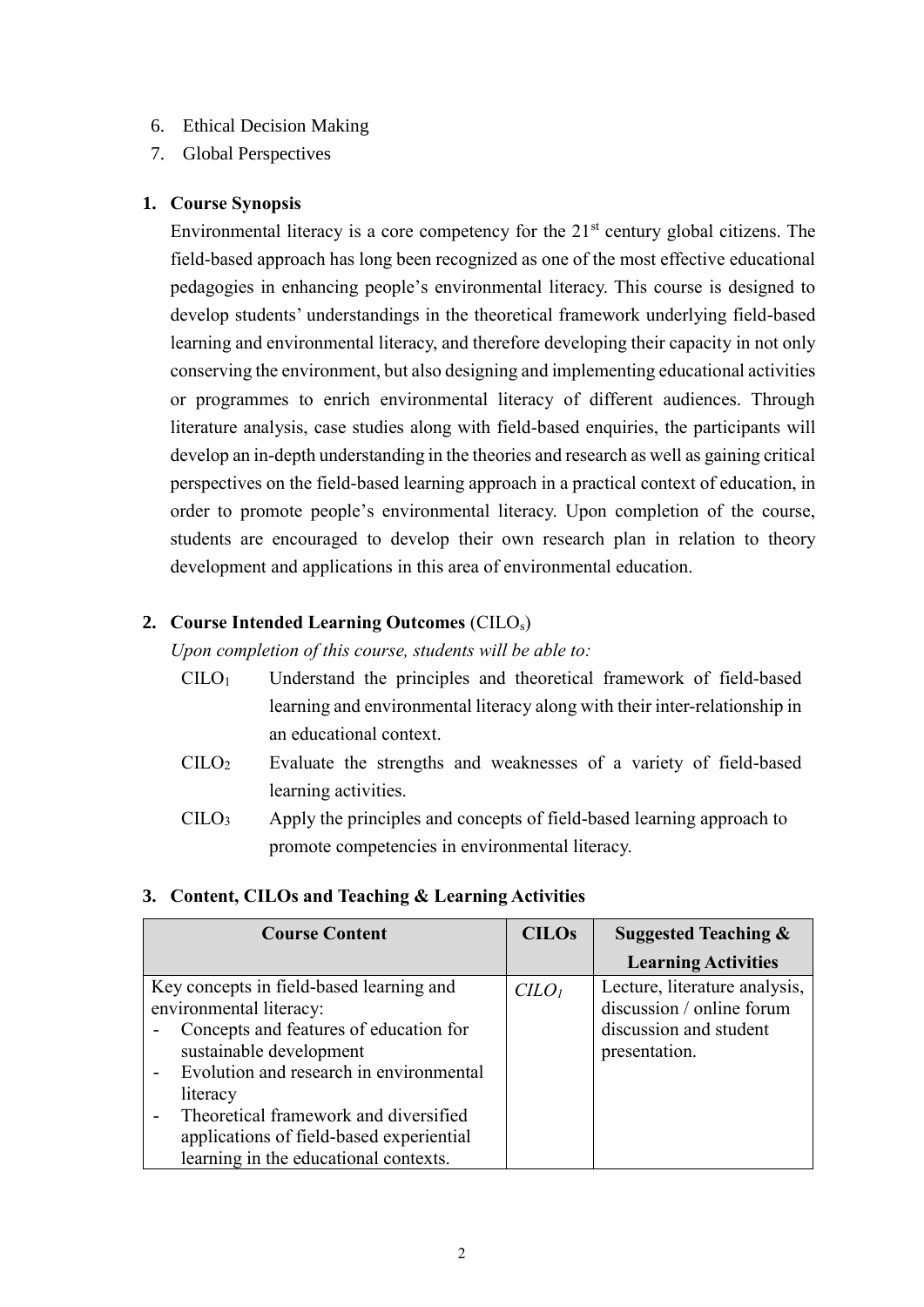### 6. Ethical Decision Making

7. Global Perspectives

### **1. Course Synopsis**

Environmental literacy is a core competency for the  $21<sup>st</sup>$  century global citizens. The field-based approach has long been recognized as one of the most effective educational pedagogies in enhancing people's environmental literacy. This course is designed to develop students' understandings in the theoretical framework underlying field-based learning and environmental literacy, and therefore developing their capacity in not only conserving the environment, but also designing and implementing educational activities or programmes to enrich environmental literacy of different audiences. Through literature analysis, case studies along with field-based enquiries, the participants will develop an in-depth understanding in the theories and research as well as gaining critical perspectives on the field-based learning approach in a practical context of education, in order to promote people's environmental literacy. Upon completion of the course, students are encouraged to develop their own research plan in relation to theory development and applications in this area of environmental education.

## **2. Course Intended Learning Outcomes** (CILOs)

*Upon completion of this course, students will be able to:*

- CILO<sup>1</sup> Understand the principles and theoretical framework of field-based learning and environmental literacy along with their inter-relationship in an educational context.
- CILO<sup>2</sup> Evaluate the strengths and weaknesses of a variety of field-based learning activities.
- CILO<sup>3</sup> Apply the principles and concepts of field-based learning approach to promote competencies in environmental literacy.

## **3. Content, CILOs and Teaching & Learning Activities**

| <b>Course Content</b>                    | <b>CILOs</b> | <b>Suggested Teaching &amp;</b> |
|------------------------------------------|--------------|---------------------------------|
|                                          |              | <b>Learning Activities</b>      |
| Key concepts in field-based learning and | $C LO$       | Lecture, literature analysis,   |
| environmental literacy:                  |              | discussion / online forum       |
| Concepts and features of education for   |              | discussion and student          |
| sustainable development                  |              | presentation.                   |
| Evolution and research in environmental  |              |                                 |
| literacy                                 |              |                                 |
| Theoretical framework and diversified    |              |                                 |
| applications of field-based experiential |              |                                 |
| learning in the educational contexts.    |              |                                 |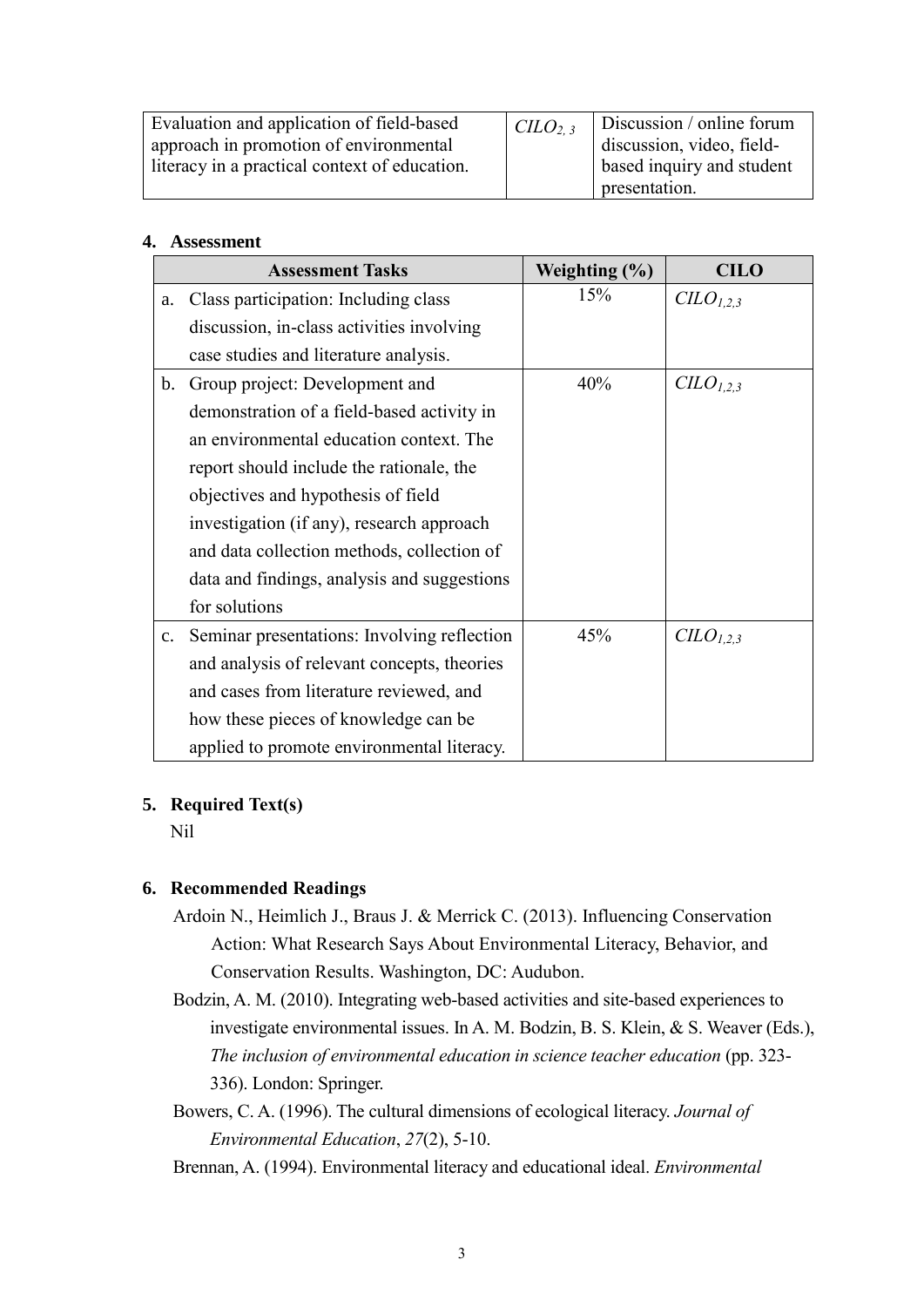| Evaluation and application of field-based     | CLO <sub>2.3</sub>        | Discussion / online forum |
|-----------------------------------------------|---------------------------|---------------------------|
| approach in promotion of environmental        |                           | discussion, video, field- |
| literacy in a practical context of education. | based inquiry and student |                           |
|                                               |                           | presentation.             |

#### **4. Assessment**

| <b>Assessment Tasks</b> |                                             | Weighting $(\% )$ | <b>CILO</b>   |
|-------------------------|---------------------------------------------|-------------------|---------------|
| a.                      | Class participation: Including class        | 15%               | $CLO_{1,2,3}$ |
|                         | discussion, in-class activities involving   |                   |               |
|                         | case studies and literature analysis.       |                   |               |
| b.                      | Group project: Development and              | 40%               | $CLO_{1,2,3}$ |
|                         | demonstration of a field-based activity in  |                   |               |
|                         | an environmental education context. The     |                   |               |
|                         | report should include the rationale, the    |                   |               |
|                         | objectives and hypothesis of field          |                   |               |
|                         | investigation (if any), research approach   |                   |               |
|                         | and data collection methods, collection of  |                   |               |
|                         | data and findings, analysis and suggestions |                   |               |
|                         | for solutions                               |                   |               |
| $\mathbf{c}$ .          | Seminar presentations: Involving reflection | 45%               | $CLO_{1,2,3}$ |
|                         | and analysis of relevant concepts, theories |                   |               |
|                         | and cases from literature reviewed, and     |                   |               |
|                         | how these pieces of knowledge can be        |                   |               |
|                         | applied to promote environmental literacy.  |                   |               |

### **5. Required Text(s)**

Nil

## **6. Recommended Readings**

- Ardoin N., Heimlich J., Braus J. & Merrick C. (2013). Influencing Conservation Action: What Research Says About Environmental Literacy, Behavior, and Conservation Results. Washington, DC: Audubon.
- Bodzin, A. M. (2010). Integrating web-based activities and site-based experiences to investigate environmental issues. In A. M. Bodzin, B. S. Klein, & S. Weaver (Eds.), *The inclusion of environmental education in science teacher education* (pp. 323- 336). London: Springer.
- Bowers, C. A. (1996). The cultural dimensions of ecological literacy. *Journal of Environmental Education*, *27*(2), 5-10.
- Brennan, A. (1994). Environmental literacy and educational ideal. *Environmental*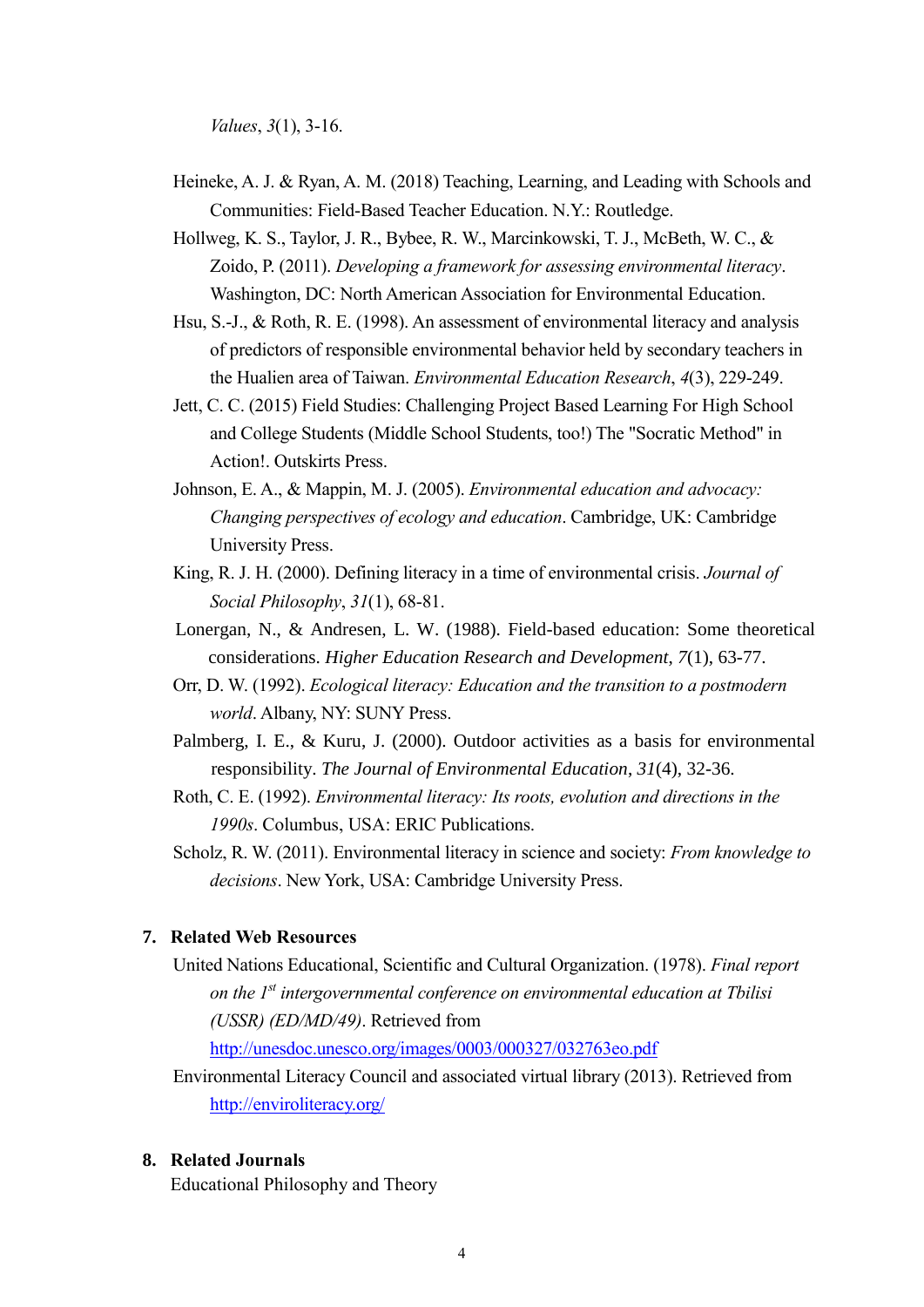*Values*, *3*(1), 3-16.

- Heineke, A. J. & Ryan, A. M. (2018) Teaching, Learning, and Leading with Schools and Communities: Field-Based Teacher Education. N.Y.: Routledge.
- Hollweg, K. S., Taylor, J. R., Bybee, R. W., Marcinkowski, T. J., McBeth, W. C., & Zoido, P. (2011). *Developing a framework for assessing environmental literacy*. Washington, DC: North American Association for Environmental Education.
- Hsu, S.-J., & Roth, R. E. (1998). An assessment of environmental literacy and analysis of predictors of responsible environmental behavior held by secondary teachers in the Hualien area of Taiwan. *Environmental Education Research*, *4*(3), 229-249.
- Jett, C. C. (2015) Field Studies: Challenging Project Based Learning For High School and College Students (Middle School Students, too!) The "Socratic Method" in Action!. Outskirts Press.
- Johnson, E. A., & Mappin, M. J. (2005). *Environmental education and advocacy: Changing perspectives of ecology and education*. Cambridge, UK: Cambridge University Press.
- King, R. J. H. (2000). Defining literacy in a time of environmental crisis. *Journal of Social Philosophy*, *31*(1), 68-81.
- Lonergan, N., & Andresen, L. W. (1988). Field-based education: Some theoretical considerations. *Higher Education Research and Development*, *7*(1), 63-77.
- Orr, D. W. (1992). *Ecological literacy: Education and the transition to a postmodern world*. Albany, NY: SUNY Press.
- Palmberg, I. E., & Kuru, J. (2000). Outdoor activities as a basis for environmental responsibility. *The Journal of Environmental Education*, *31*(4), 32-36.
- Roth, C. E. (1992). *Environmental literacy: Its roots, evolution and directions in the 1990s*. Columbus, USA: ERIC Publications.
- Scholz, R. W. (2011). Environmental literacy in science and society: *From knowledge to decisions*. New York, USA: Cambridge University Press.

#### **7. Related Web Resources**

United Nations Educational, Scientific and Cultural Organization. (1978). *Final report on the 1st intergovernmental conference on environmental education at Tbilisi (USSR) (ED/MD/49)*. Retrieved from

<http://unesdoc.unesco.org/images/0003/000327/032763eo.pdf>

Environmental Literacy Council and associated virtual library (2013). Retrieved from <http://enviroliteracy.org/>

#### **8. Related Journals**

Educational Philosophy and Theory